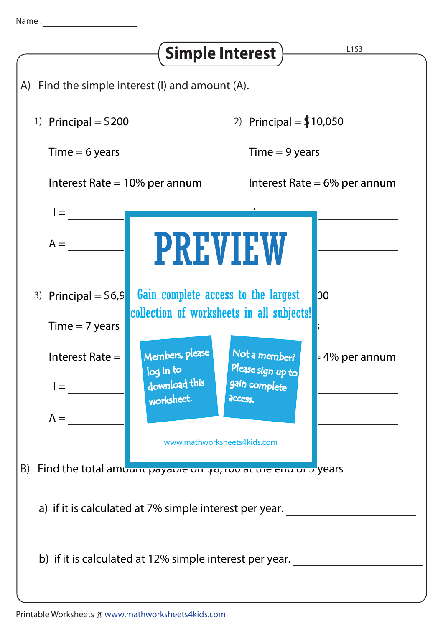